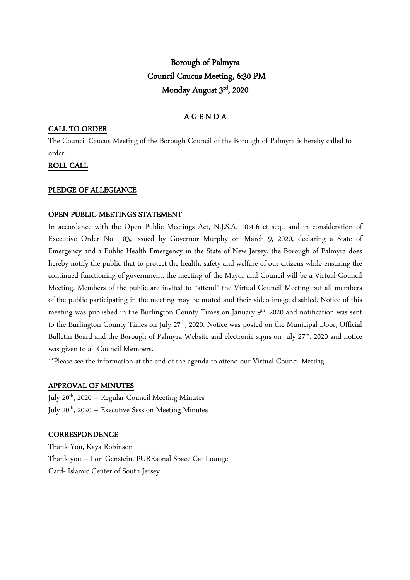# Borough of Palmyra Council Caucus Meeting, 6:30 PM Monday August 3rd, 2020

# A G E N D A

### CALL TO ORDER

The Council Caucus Meeting of the Borough Council of the Borough of Palmyra is hereby called to order.

## ROLL CALL

### PLEDGE OF ALLEGIANCE

### OPEN PUBLIC MEETINGS STATEMENT

In accordance with the Open Public Meetings Act, N.J.S.A. 10:4-6 et seq., and in consideration of Executive Order No. 103, issued by Governor Murphy on March 9, 2020, declaring a State of Emergency and a Public Health Emergency in the State of New Jersey, the Borough of Palmyra does hereby notify the public that to protect the health, safety and welfare of our citizens while ensuring the continued functioning of government, the meeting of the Mayor and Council will be a Virtual Council Meeting. Members of the public are invited to "attend" the Virtual Council Meeting but all members of the public participating in the meeting may be muted and their video image disabled. Notice of this meeting was published in the Burlington County Times on January 9<sup>th</sup>, 2020 and notification was sent to the Burlington County Times on July 27<sup>th</sup>, 2020. Notice was posted on the Municipal Door, Official Bulletin Board and the Borough of Palmyra Website and electronic signs on July 27<sup>th</sup>, 2020 and notice was given to all Council Members.

\*\*Please see the information at the end of the agenda to attend our Virtual Council Meeting.

### APPROVAL OF MINUTES

July  $20<sup>th</sup>$ , 2020 – Regular Council Meeting Minutes July  $20^{th}$ , 2020 – Executive Session Meeting Minutes

### **CORRESPONDENCE**

Thank-You, Kaya Robinson Thank-you – Lori Genstein, PURRsonal Space Cat Lounge Card- Islamic Center of South Jersey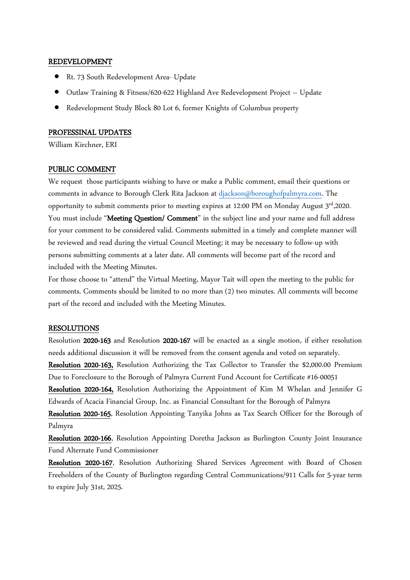### REDEVELOPMENT

- Rt. 73 South Redevelopment Area- Update
- Outlaw Training & Fitness/620-622 Highland Ave Redevelopment Project Update
- Redevelopment Study Block 80 Lot 6, former Knights of Columbus property

#### PROFESSINAL UPDATES

William Kirchner, ERI

#### PUBLIC COMMENT

We request those participants wishing to have or make a Public comment, email their questions or comments in advance to Borough Clerk Rita Jackson at djackson@boroughofpalmyra.com. The opportunity to submit comments prior to meeting expires at 12:00 PM on Monday August 3rd,2020. You must include "Meeting Question/ Comment" in the subject line and your name and full address for your comment to be considered valid. Comments submitted in a timely and complete manner will be reviewed and read during the virtual Council Meeting; it may be necessary to follow-up with persons submitting comments at a later date. All comments will become part of the record and included with the Meeting Minutes.

For those choose to "attend" the Virtual Meeting, Mayor Tait will open the meeting to the public for comments. Comments should be limited to no more than (2) two minutes. All comments will become part of the record and included with the Meeting Minutes.

#### RESOLUTIONS

Resolution 2020-163 and Resolution 2020-167 will be enacted as a single motion, if either resolution needs additional discussion it will be removed from the consent agenda and voted on separately.

Resolution 2020-163, Resolution Authorizing the Tax Collector to Transfer the \$2,000.00 Premium Due to Foreclosure to the Borough of Palmyra Current Fund Account for Certificate #16-00051

Resolution 2020-164, Resolution Authorizing the Appointment of Kim M Whelan and Jennifer G Edwards of Acacia Financial Group, Inc. as Financial Consultant for the Borough of Palmyra

Resolution 2020-165, Resolution Appointing Tanyika Johns as Tax Search Officer for the Borough of Palmyra

Resolution 2020-166, Resolution Appointing Doretha Jackson as Burlington County Joint Insurance Fund Alternate Fund Commissioner

Resolution 2020-167, Resolution Authorizing Shared Services Agreement with Board of Chosen Freeholders of the County of Burlington regarding Central Communications/911 Calls for 5-year term to expire July 31st, 2025.